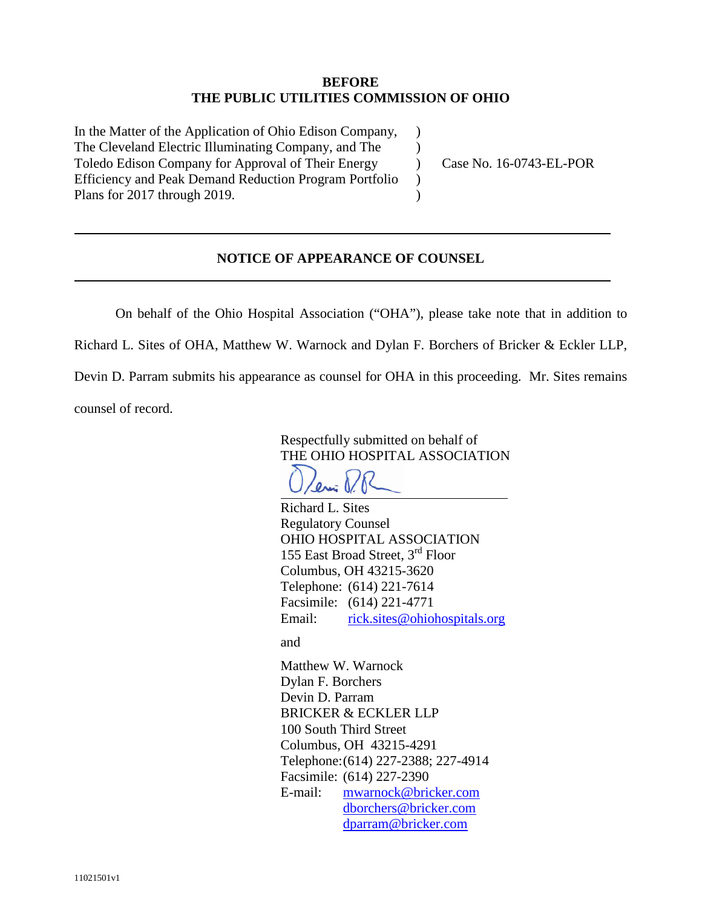## **BEFORE THE PUBLIC UTILITIES COMMISSION OF OHIO**

 $\lambda$  $\mathcal{L}$  $\mathcal{L}$  $\lambda$  $\lambda$ 

In the Matter of the Application of Ohio Edison Company, The Cleveland Electric Illuminating Company, and The Toledo Edison Company for Approval of Their Energy Efficiency and Peak Demand Reduction Program Portfolio Plans for 2017 through 2019.

Case No. 16-0743-EL-POR

## **NOTICE OF APPEARANCE OF COUNSEL**

On behalf of the Ohio Hospital Association ("OHA"), please take note that in addition to

Richard L. Sites of OHA, Matthew W. Warnock and Dylan F. Borchers of Bricker & Eckler LLP,

Devin D. Parram submits his appearance as counsel for OHA in this proceeding. Mr. Sites remains counsel of record.

> Respectfully submitted on behalf of THE OHIO HOSPITAL ASSOCIATION

 $\theta$ ri

Richard L. Sites Regulatory Counsel OHIO HOSPITAL ASSOCIATION 155 East Broad Street, 3rd Floor Columbus, OH 43215-3620 Telephone: (614) 221-7614 Facsimile: (614) 221-4771 Email: rick.sites@ohiohospitals.org

and

Matthew W. Warnock Dylan F. Borchers Devin D. Parram BRICKER & ECKLER LLP 100 South Third Street Columbus, OH 43215-4291 Telephone:(614) 227-2388; 227-4914 Facsimile: (614) 227-2390 E-mail: mwarnock@bricker.com dborchers@bricker.com dparram@bricker.com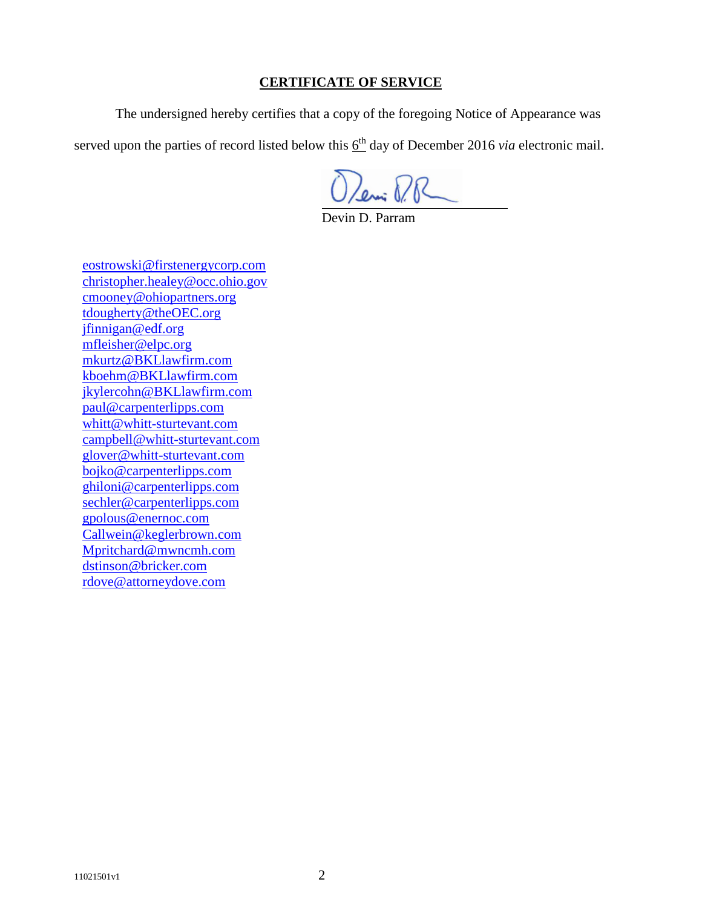## **CERTIFICATE OF SERVICE**

The undersigned hereby certifies that a copy of the foregoing Notice of Appearance was

served upon the parties of record listed below this  $6<sup>th</sup>$  day of December 2016 *via* electronic mail.

Deni P.R

Devin D. Parram

eostrowski@firstenergycorp.com christopher.healey@occ.ohio.gov cmooney@ohiopartners.org tdougherty@theOEC.org jfinnigan@edf.org mfleisher@elpc.org mkurtz@BKLlawfirm.com kboehm@BKLlawfirm.com jkylercohn@BKLlawfirm.com paul@carpenterlipps.com whitt@whitt-sturtevant.com campbell@whitt-sturtevant.com glover@whitt-sturtevant.com bojko@carpenterlipps.com ghiloni@carpenterlipps.com sechler@carpenterlipps.com gpolous@enernoc.com Callwein@keglerbrown.com Mpritchard@mwncmh.com dstinson@bricker.com rdove@attorneydove.com